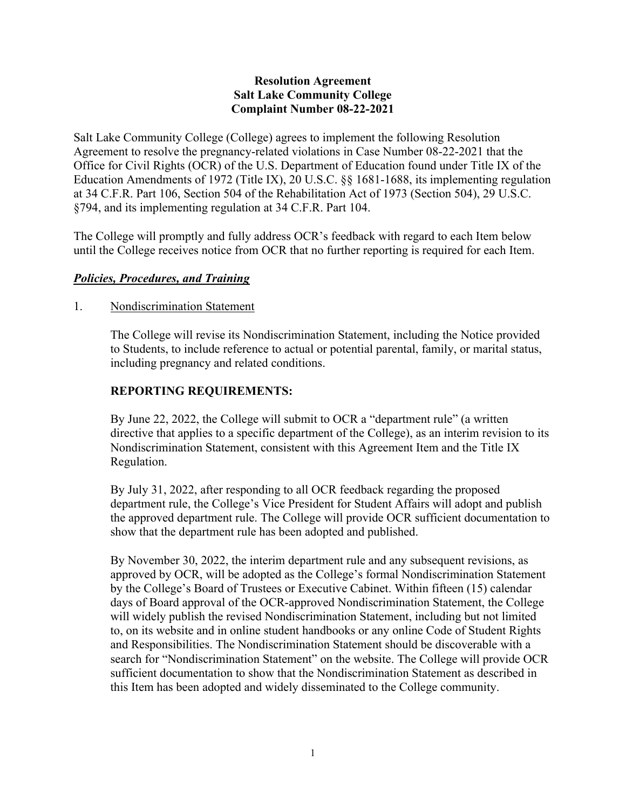### **Resolution Agreement Salt Lake Community College Complaint Number 08-22-2021**

Salt Lake Community College (College) agrees to implement the following Resolution Agreement to resolve the pregnancy-related violations in Case Number 08-22-2021 that the Office for Civil Rights (OCR) of the U.S. Department of Education found under Title IX of the Education Amendments of 1972 (Title IX), 20 U.S.C. §§ 1681-1688, its implementing regulation at 34 C.F.R. Part 106, Section 504 of the Rehabilitation Act of 1973 (Section 504), 29 U.S.C. §794, and its implementing regulation at 34 C.F.R. Part 104.

The College will promptly and fully address OCR's feedback with regard to each Item below until the College receives notice from OCR that no further reporting is required for each Item.

## *Policies, Procedures, and Training*

## 1. Nondiscrimination Statement

The College will revise its Nondiscrimination Statement, including the Notice provided to Students, to include reference to actual or potential parental, family, or marital status, including pregnancy and related conditions.

# **REPORTING REQUIREMENTS:**

By June 22, 2022, the College will submit to OCR a "department rule" (a written directive that applies to a specific department of the College), as an interim revision to its Nondiscrimination Statement, consistent with this Agreement Item and the Title IX Regulation.

By July 31, 2022, after responding to all OCR feedback regarding the proposed department rule, the College's Vice President for Student Affairs will adopt and publish the approved department rule. The College will provide OCR sufficient documentation to show that the department rule has been adopted and published.

By November 30, 2022, the interim department rule and any subsequent revisions, as approved by OCR, will be adopted as the College's formal Nondiscrimination Statement by the College's Board of Trustees or Executive Cabinet. Within fifteen (15) calendar days of Board approval of the OCR-approved Nondiscrimination Statement, the College will widely publish the revised Nondiscrimination Statement, including but not limited to, on its website and in online student handbooks or any online Code of Student Rights and Responsibilities. The Nondiscrimination Statement should be discoverable with a search for "Nondiscrimination Statement" on the website. The College will provide OCR sufficient documentation to show that the Nondiscrimination Statement as described in this Item has been adopted and widely disseminated to the College community.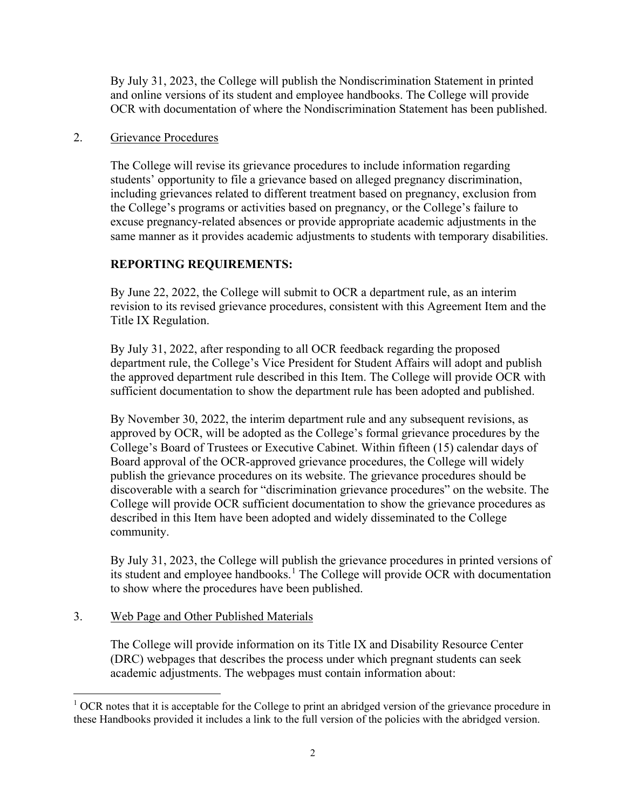By July 31, 2023, the College will publish the Nondiscrimination Statement in printed and online versions of its student and employee handbooks. The College will provide OCR with documentation of where the Nondiscrimination Statement has been published.

#### 2. Grievance Procedures

The College will revise its grievance procedures to include information regarding students' opportunity to file a grievance based on alleged pregnancy discrimination, including grievances related to different treatment based on pregnancy, exclusion from the College's programs or activities based on pregnancy, or the College's failure to excuse pregnancy-related absences or provide appropriate academic adjustments in the same manner as it provides academic adjustments to students with temporary disabilities.

# **REPORTING REQUIREMENTS:**

By June 22, 2022, the College will submit to OCR a department rule, as an interim revision to its revised grievance procedures, consistent with this Agreement Item and the Title IX Regulation.

By July 31, 2022, after responding to all OCR feedback regarding the proposed department rule, the College's Vice President for Student Affairs will adopt and publish the approved department rule described in this Item. The College will provide OCR with sufficient documentation to show the department rule has been adopted and published.

By November 30, 2022, the interim department rule and any subsequent revisions, as approved by OCR, will be adopted as the College's formal grievance procedures by the College's Board of Trustees or Executive Cabinet. Within fifteen (15) calendar days of Board approval of the OCR-approved grievance procedures, the College will widely publish the grievance procedures on its website. The grievance procedures should be discoverable with a search for "discrimination grievance procedures" on the website. The College will provide OCR sufficient documentation to show the grievance procedures as described in this Item have been adopted and widely disseminated to the College community.

By July 31, 2023, the College will publish the grievance procedures in printed versions of its student and employee handbooks.<sup>[1](#page-1-0)</sup> The College will provide OCR with documentation to show where the procedures have been published.

## 3. Web Page and Other Published Materials

The College will provide information on its Title IX and Disability Resource Center (DRC) webpages that describes the process under which pregnant students can seek academic adjustments. The webpages must contain information about:

<span id="page-1-0"></span> $1$  OCR notes that it is acceptable for the College to print an abridged version of the grievance procedure in these Handbooks provided it includes a link to the full version of the policies with the abridged version.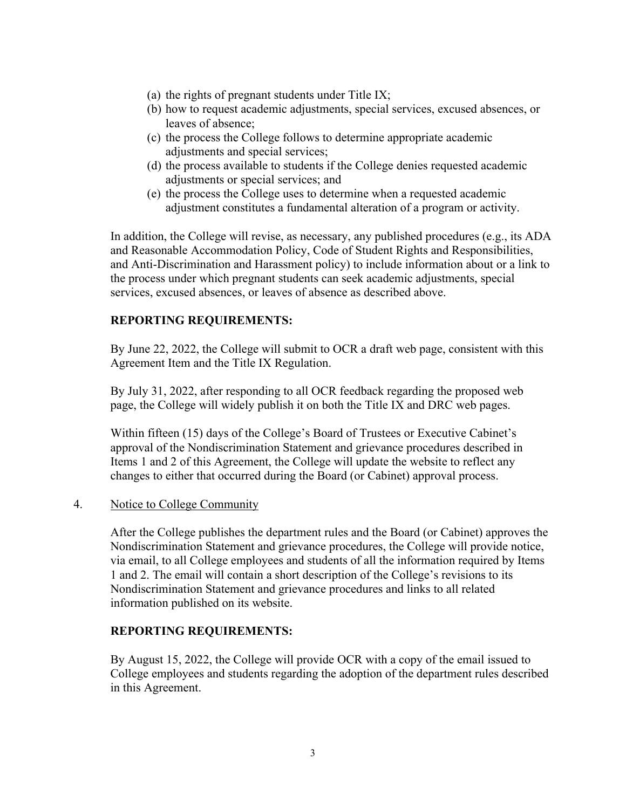- (a) the rights of pregnant students under Title IX;
- (b) how to request academic adjustments, special services, excused absences, or leaves of absence;
- (c) the process the College follows to determine appropriate academic adjustments and special services;
- (d) the process available to students if the College denies requested academic adjustments or special services; and
- (e) the process the College uses to determine when a requested academic adjustment constitutes a fundamental alteration of a program or activity.

In addition, the College will revise, as necessary, any published procedures (e.g., its ADA and Reasonable Accommodation Policy, Code of Student Rights and Responsibilities, and Anti-Discrimination and Harassment policy) to include information about or a link to the process under which pregnant students can seek academic adjustments, special services, excused absences, or leaves of absence as described above.

### **REPORTING REQUIREMENTS:**

By June 22, 2022, the College will submit to OCR a draft web page, consistent with this Agreement Item and the Title IX Regulation.

By July 31, 2022, after responding to all OCR feedback regarding the proposed web page, the College will widely publish it on both the Title IX and DRC web pages.

Within fifteen (15) days of the College's Board of Trustees or Executive Cabinet's approval of the Nondiscrimination Statement and grievance procedures described in Items 1 and 2 of this Agreement, the College will update the website to reflect any changes to either that occurred during the Board (or Cabinet) approval process.

#### 4. Notice to College Community

After the College publishes the department rules and the Board (or Cabinet) approves the Nondiscrimination Statement and grievance procedures, the College will provide notice, via email, to all College employees and students of all the information required by Items 1 and 2. The email will contain a short description of the College's revisions to its Nondiscrimination Statement and grievance procedures and links to all related information published on its website.

#### **REPORTING REQUIREMENTS:**

By August 15, 2022, the College will provide OCR with a copy of the email issued to College employees and students regarding the adoption of the department rules described in this Agreement.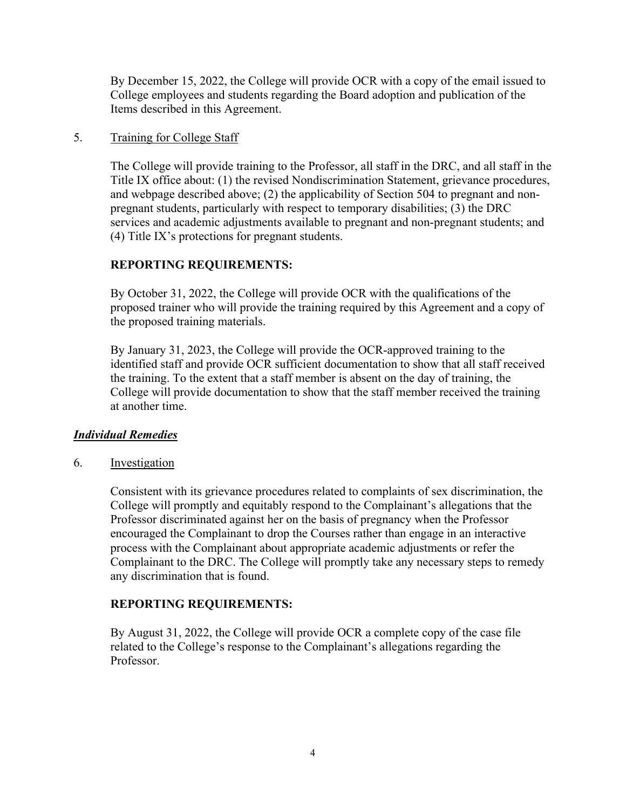By December 15, 2022, the College will provide OCR with a copy of the email issued to College employees and students regarding the Board adoption and publication of the Items described in this Agreement.

#### 5. Training for College Staff

The College will provide training to the Professor, all staff in the DRC, and all staff in the Title IX office about: (1) the revised Nondiscrimination Statement, grievance procedures, and webpage described above; (2) the applicability of Section 504 to pregnant and nonpregnant students, particularly with respect to temporary disabilities; (3) the DRC services and academic adjustments available to pregnant and non-pregnant students; and (4) Title IX's protections for pregnant students.

# **REPORTING REQUIREMENTS:**

By October 31, 2022, the College will provide OCR with the qualifications of the proposed trainer who will provide the training required by this Agreement and a copy of the proposed training materials.

By January 31, 2023, the College will provide the OCR-approved training to the identified staff and provide OCR sufficient documentation to show that all staff received the training. To the extent that a staff member is absent on the day of training, the College will provide documentation to show that the staff member received the training at another time.

## *Individual Remedies*

6. Investigation

Consistent with its grievance procedures related to complaints of sex discrimination, the College will promptly and equitably respond to the Complainant's allegations that the Professor discriminated against her on the basis of pregnancy when the Professor encouraged the Complainant to drop the Courses rather than engage in an interactive process with the Complainant about appropriate academic adjustments or refer the Complainant to the DRC. The College will promptly take any necessary steps to remedy any discrimination that is found.

## **REPORTING REQUIREMENTS:**

By August 31, 2022, the College will provide OCR a complete copy of the case file related to the College's response to the Complainant's allegations regarding the Professor.